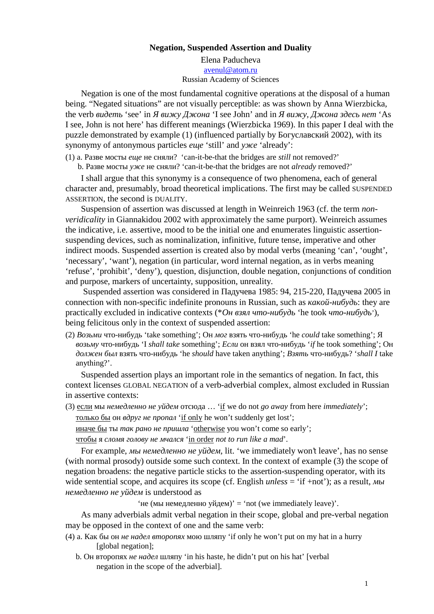Negation, Suspended Assertion and Duality Elena Paducheva

> [avenul@atom.r](mailto:avenul@atom.ru)u Russian Academy of Sciences

Negation is one of the most fundamental cognitive operations at the disposal of a human being. €Negated situations• not visually perceptibles was shown by Anna Wierzbicka, the verb $\in$ •, $f$ ,..., se $f$  in†  $\in$ •‡^ ‰‡Š‹Œ I see John $f$  and  $\in$ •‡^ , ‰‡Š‹Œ, $f$ Ž.. $sf$  , As I see John is not herehas different meaning olierzbicka 1969) In this paper I deal with the puzzle demonstrated by ample (1) (influenced partially by...  $\uparrow \uparrow \sim$ %S $\circ$   $\propto$   $\sim$   $\sim$   $\sim$   $\sim$   $\sim$   $\sim$   $\sim$ synonymy of antonymous articles f•f .still f and the already f

(1) a. • $\check{S} \bullet \check{c}'$  : ... ^ iii)  $f \bullet f \bullet \check{c}$   $\bullet \in \mathcal{C}_0$  ? , can-it-be-that the bridges are still not removed?  $f$ 

 $\ddot{b}$ . •Š• $\dot{c}$   $\dddot{c}$   $\dddot{c}$   $\dddot{c}$   $\ddot{c}$   $\ddot{c}$   $\ddot{c}$   $\ddot{c}$   $\ddot{c}$   $\ddot{c}$   $\ddot{c}$   $\ddot{c}$   $\ddot{c}$   $\ddot{c}$   $\ddot{c}$   $\ddot{c}$   $\ddot{c}$   $\ddot{c}$   $\ddot{c}$   $\ddot{c}$   $\ddot{c}$   $\ddot{c}$   $\ddot{c}$   $\$ 

I shall arguethat this synonymy is a consequence of two phenomena, each of general character and, presumably, broad theoretical implications. The first may be called NDED ASSERTION the second in UALITY.

Suspension of assertion was discussed at length in Weinlerg (cf. the termonveridicality in Giannakidou 2002 with approximately the same purport). Weinreich assumes the indicative i.e. assertive mood to be the initial one and enumerates linguistic assertion suspending devices, such as nominalizatiomitivie, future tense, imperative and other indirect moods. Suspended assertion is created also by modal verbs (meaning canf, oughtf, 'necessaryƒ, 'wantƒ), negation (in particular, word internal negation, as in verbs meaning refusef, prohibitf, denyfquestion, disjunction, double negation, conjunctions of condition and purpose, markers of uncertainty, supposition, unreality.

Suspended assertion wax sidered in—Š~‡™'<sup>{3005</sup>: 94, 215-220, —Š~‡™'<sup>{3005}</sup>in connection with norspecific indefinite pronouns in Russian, such  $CEs\check{S}^{\perp}\cdot\cdot\cdot$ ... : they are practically excluded in indicative contexts (\*  $\epsilon \bullet \infty$ °,  $\delta \cdot \bullet \infty$ <sup>o</sup>,..., for took– $\delta \cdot \bullet \infty$ <sup>o</sup>,...  $\hat{p}$ , beingfelicitous only in the cotext of suspended assertion

 $(2)$  —Š•…~ $W^*$ …••š‡~, take something  $f$  $x e^*$   $\tilde{S}^{TM}$ \*  $W^*$ …•• $\tilde{S}f^*$ , he could take something  $f$ ; €Š•…˜ˆ™"…-••š‡˜› 'I shall take somethingƒ;šŽ•• …•‹•–‰™"…-••š‡˜› 'if he took somethingƒ; ϥ  $\mathcal{L}$ setf‹ '>• (•–") ™"…••š‡ > he should have taken anything  $f$ ; •",... IM"…••š‡ > ?, shall I take anything?ƒ.

Suspended assertionays an important role in the mantics of negation. In fact, this context licenses GLOBAL NEGATION of a verbadverbial complex almost excluded in Russian in assertive contexts

(3)  $\sqrt[6]{\omega}$  "  $\sqrt[6]{\cdot}$   $\int f \cdot (\dot{\zeta} + f') \cdot f''$  ... "z̃ Š Ÿ if we do notgo away from hereimmediately;

"…‰›Œ…š" …•€'œˆ™‹ƒ •œŠ•Œ• 'if only hewonƒt suddenlygetlostƒ;

••Š™'š" "" "Œ•œŒ‹<del>Ğ</del> •œ•ž•Œ, otherwiseyou wonft comesoearlyf;

 $\overline{\text{TM}^{\omega}...\check{S}^{\omega}}\check{Z}\bullet\check{S}^{\omega}$ " ™Š $\bullet\check{S}\text{\textsf{f}}\check{S}^{\omega}$  ~Œ $\bullet\check{Z}^{\omega}$ , in ordernot to run likea mad $f$ .

For example<sup> $\gamma$ </sup> ·  $f^*f$ ,  $\bullet f \circ \dot{S}$  ·  $f \circ f$ ,  $f^*$  , lit. , we immediately won't leave f, has no sense (with normal prosody) outside some such context. In the context amiple(3) the scope of negation broadens: the negative ticks to the assertion-suspending operator, with its wide sentential scope, and acquires its scope (cf. English section  $f$ ); as a result,  $\langle f \tilde{f}, \tilde{f} \rangle$   $\langle f \tilde{f} \rangle$   $\langle f \tilde{f} \rangle$  is understood as

'•' ('" •'''˜‰'••… ‡Ž˜'' )ƒ = 'not (we immediately leave)ƒ.

As many adverbials admit verbal negation in their scope, global and pregation may be opposed in the rotext of one and the same verb:

- (4) Š. ŠŒš" …• $(f \in f \bullet \in \mathcal{S} \in \mathcal{S}^* \check{Y} \to \check{Z}^* \check{Y} \to \check{Z}^*$  if only he wonft put on my hat in a hurry [global negation];
	- b. ϥ ("...£...¢– $\oint$  (E, f• ;‰–¢‡, in his haste, he didnft put on his hatf [verbal] negation in the scope of the adverbial].